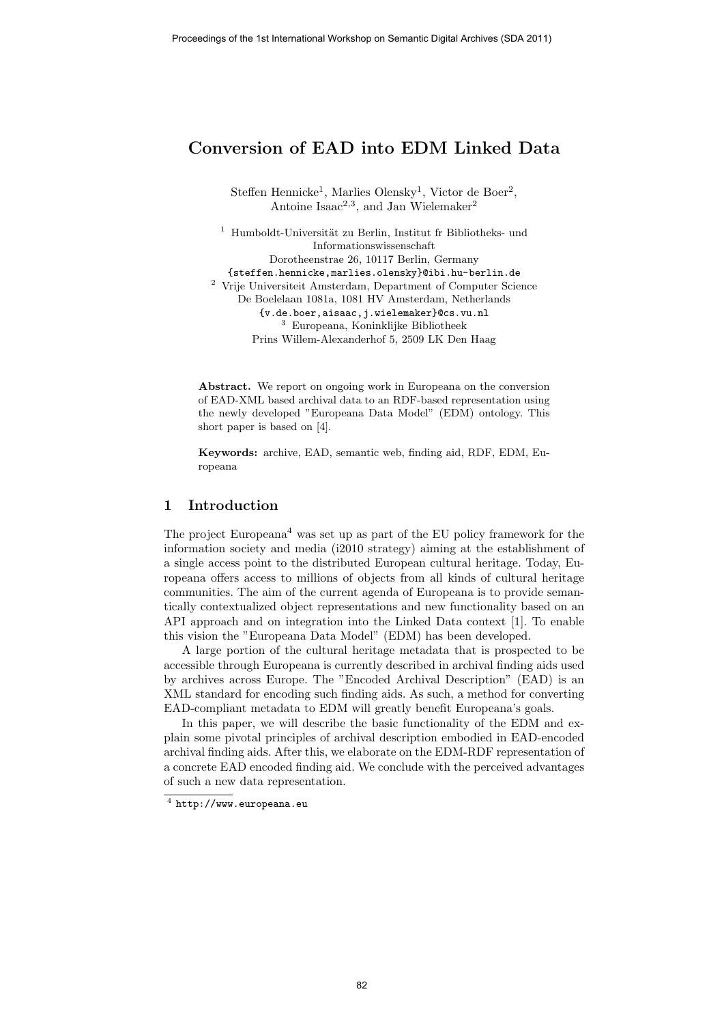# Conversion of EAD into EDM Linked Data

Steffen Hennicke<sup>1</sup>, Marlies Olensky<sup>1</sup>, Victor de Boer<sup>2</sup>, Antoine Isaa $c^{2,3}$ , and Jan Wielemaker<sup>2</sup>

 $1$  Humboldt-Universität zu Berlin, Institut fr Bibliotheks- und Informationswissenschaft Dorotheenstrae 26, 10117 Berlin, Germany {steffen.hennicke,marlies.olensky}@ibi.hu-berlin.de <sup>2</sup> Vrije Universiteit Amsterdam, Department of Computer Science De Boelelaan 1081a, 1081 HV Amsterdam, Netherlands {v.de.boer,aisaac,j.wielemaker}@cs.vu.nl  $^3\,$  Europeana, Koninklijke Bibliotheek Prins Willem-Alexanderhof 5, 2509 LK Den Haag

Abstract. We report on ongoing work in Europeana on the conversion of EAD-XML based archival data to an RDF-based representation using the newly developed "Europeana Data Model" (EDM) ontology. This short paper is based on [4].

Keywords: archive, EAD, semantic web, finding aid, RDF, EDM, Europeana

#### 1 Introduction

The project Europeana<sup>4</sup> was set up as part of the EU policy framework for the information society and media (i2010 strategy) aiming at the establishment of a single access point to the distributed European cultural heritage. Today, Europeana offers access to millions of objects from all kinds of cultural heritage communities. The aim of the current agenda of Europeana is to provide semantically contextualized object representations and new functionality based on an API approach and on integration into the Linked Data context [1]. To enable this vision the "Europeana Data Model" (EDM) has been developed.

A large portion of the cultural heritage metadata that is prospected to be accessible through Europeana is currently described in archival finding aids used by archives across Europe. The "Encoded Archival Description" (EAD) is an XML standard for encoding such finding aids. As such, a method for converting EAD-compliant metadata to EDM will greatly benefit Europeana's goals.

In this paper, we will describe the basic functionality of the EDM and explain some pivotal principles of archival description embodied in EAD-encoded archival finding aids. After this, we elaborate on the EDM-RDF representation of a concrete EAD encoded finding aid. We conclude with the perceived advantages of such a new data representation.

 $^4$  http://www.europeana.eu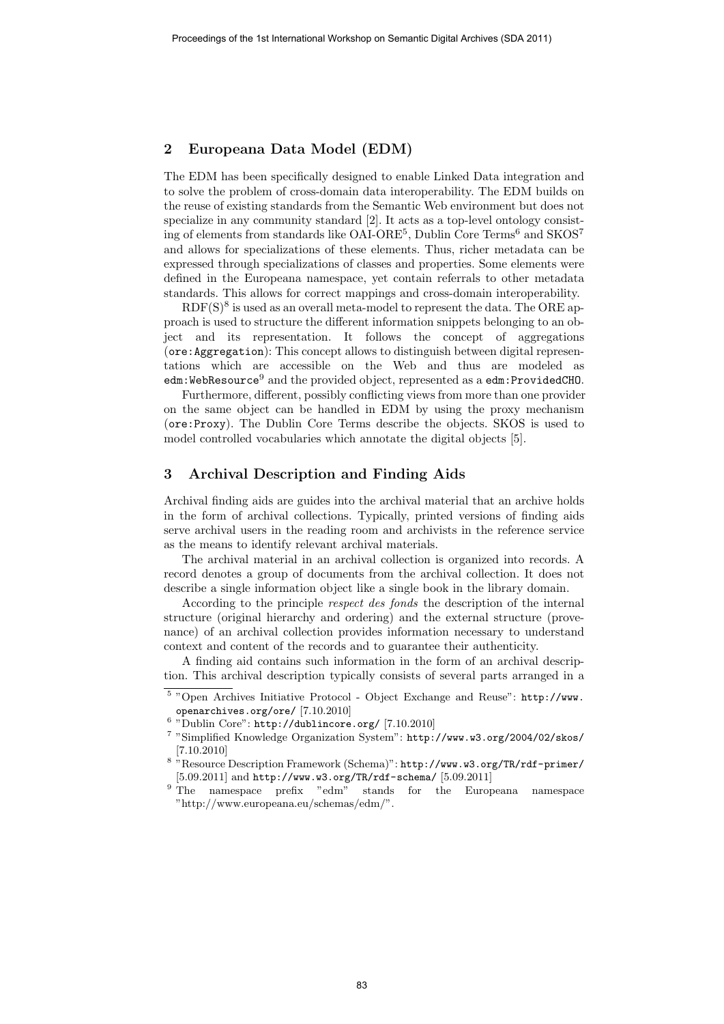## 2 Europeana Data Model (EDM)

The EDM has been specifically designed to enable Linked Data integration and to solve the problem of cross-domain data interoperability. The EDM builds on the reuse of existing standards from the Semantic Web environment but does not specialize in any community standard [2]. It acts as a top-level ontology consisting of elements from standards like OAI-ORE<sup>5</sup>, Dublin Core Terms<sup>6</sup> and SKOS<sup>7</sup> and allows for specializations of these elements. Thus, richer metadata can be expressed through specializations of classes and properties. Some elements were defined in the Europeana namespace, yet contain referrals to other metadata standards. This allows for correct mappings and cross-domain interoperability.

 $RDF(S)^{8}$  is used as an overall meta-model to represent the data. The ORE approach is used to structure the different information snippets belonging to an object and its representation. It follows the concept of aggregations (ore:Aggregation): This concept allows to distinguish between digital representations which are accessible on the Web and thus are modeled as edm:WebResource<sup>9</sup> and the provided object, represented as a edm:ProvidedCHO.

Furthermore, different, possibly conflicting views from more than one provider on the same object can be handled in EDM by using the proxy mechanism (ore:Proxy). The Dublin Core Terms describe the objects. SKOS is used to model controlled vocabularies which annotate the digital objects [5].

### 3 Archival Description and Finding Aids

Archival finding aids are guides into the archival material that an archive holds in the form of archival collections. Typically, printed versions of finding aids serve archival users in the reading room and archivists in the reference service as the means to identify relevant archival materials.

The archival material in an archival collection is organized into records. A record denotes a group of documents from the archival collection. It does not describe a single information object like a single book in the library domain.

According to the principle respect des fonds the description of the internal structure (original hierarchy and ordering) and the external structure (provenance) of an archival collection provides information necessary to understand context and content of the records and to guarantee their authenticity.

A finding aid contains such information in the form of an archival description. This archival description typically consists of several parts arranged in a

<sup>&</sup>lt;sup>5</sup> "Open Archives Initiative Protocol - Object Exchange and Reuse": http://www. openarchives.org/ore/ [7.10.2010]

 $6$  "Dublin Core": http://dublincore.org/ [7.10.2010]

<sup>7</sup> "Simplified Knowledge Organization System": http://www.w3.org/2004/02/skos/ [7.10.2010]

<sup>8</sup> "Resource Description Framework (Schema)": http://www.w3.org/TR/rdf-primer/ [5.09.2011] and http://www.w3.org/TR/rdf-schema/ [5.09.2011]

<sup>9</sup> The namespace prefix "edm" stands for the Europeana namespace "http://www.europeana.eu/schemas/edm/".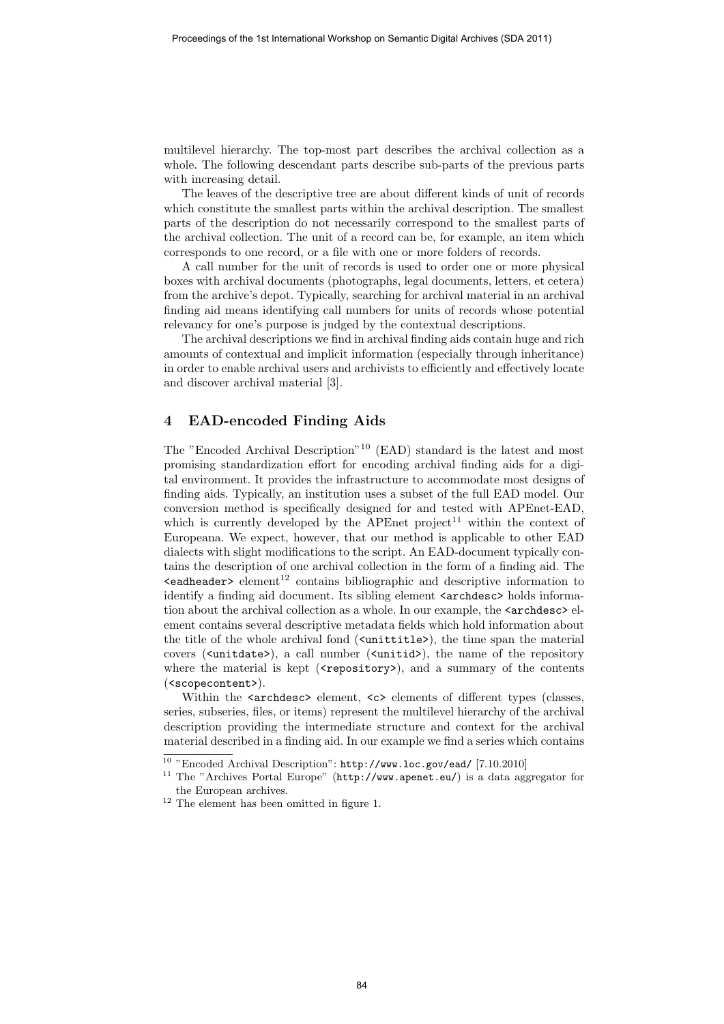multilevel hierarchy. The top-most part describes the archival collection as a whole. The following descendant parts describe sub-parts of the previous parts with increasing detail.

The leaves of the descriptive tree are about different kinds of unit of records which constitute the smallest parts within the archival description. The smallest parts of the description do not necessarily correspond to the smallest parts of the archival collection. The unit of a record can be, for example, an item which corresponds to one record, or a file with one or more folders of records.

A call number for the unit of records is used to order one or more physical boxes with archival documents (photographs, legal documents, letters, et cetera) from the archive's depot. Typically, searching for archival material in an archival finding aid means identifying call numbers for units of records whose potential relevancy for one's purpose is judged by the contextual descriptions.

The archival descriptions we find in archival finding aids contain huge and rich amounts of contextual and implicit information (especially through inheritance) in order to enable archival users and archivists to efficiently and effectively locate and discover archival material [3].

## 4 EAD-encoded Finding Aids

The "Encoded Archival Description"<sup>10</sup> (EAD) standard is the latest and most promising standardization effort for encoding archival finding aids for a digital environment. It provides the infrastructure to accommodate most designs of finding aids. Typically, an institution uses a subset of the full EAD model. Our conversion method is specifically designed for and tested with APEnet-EAD, which is currently developed by the APEnet project<sup>11</sup> within the context of Europeana. We expect, however, that our method is applicable to other EAD dialects with slight modifications to the script. An EAD-document typically contains the description of one archival collection in the form of a finding aid. The  $\epsilon$ eadheader> element<sup>12</sup> contains bibliographic and descriptive information to identify a finding aid document. Its sibling element  $\langle archdesc\rangle$  holds information about the archival collection as a whole. In our example, the  $\langle archdesc \rangle$  element contains several descriptive metadata fields which hold information about the title of the whole archival fond (<unittitle>), the time span the material covers ( $\langle$ unitdate>), a call number ( $\langle$ unitid>), the name of the repository where the material is kept ( $\langle$ repository>), and a summary of the contents (<scopecontent>).

Within the <archdesc> element, <c> elements of different types (classes, series, subseries, files, or items) represent the multilevel hierarchy of the archival description providing the intermediate structure and context for the archival material described in a finding aid. In our example we find a series which contains

<sup>&</sup>lt;sup>10</sup> "Encoded Archival Description": http://www.loc.gov/ead/ [7.10.2010]

<sup>11</sup> The "Archives Portal Europe" (http://www.apenet.eu/) is a data aggregator for the European archives.

 $^{12}$  The element has been omitted in figure 1.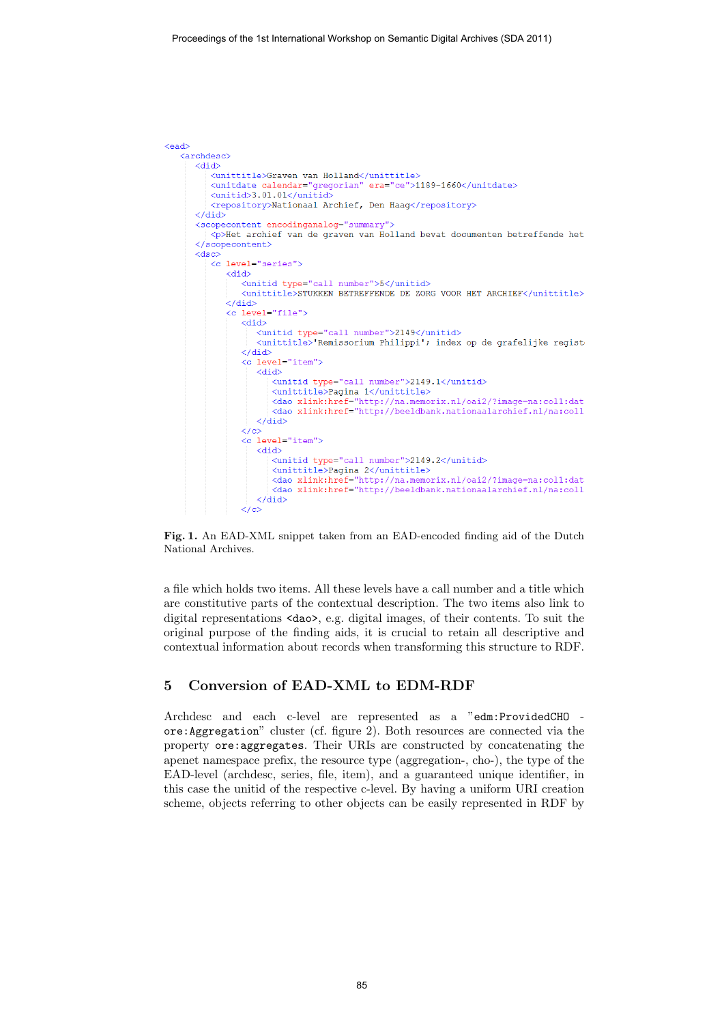```
\sim and \sim<archdesc>
      <did>
          <unittitle>Graven van Holland</unittitle>
          <unitdate calendar="gregorian" era="ce">1189-1660</unitdate>
          \langle \text{unitid}\rangle3.01.01</unitid>
          <repository>Nationaal Archief, Den Haag</repository>
      Z/44A<scopecontent encodinganalog="summary">
         \simp>Het archief van de graven van Holland bevat documenten betreffende het
       </scopecontent>
      \langledsc\rangle\leq level="series">
             \overline{\text{did}}<unitid type="call number">5</unitid>
                 <unittitle>STUKKEN BETREFFENDE DE ZORG VOOR HET ARCHIEF</unittitle>

             <c level="file">
                 <did>
                    <unitid type="call number">2149</unitid>
                    <unittitle>'Remissorium Philippi'; index op de grafelijke regist
                 \langle/did>
                 <c level="item">
                    Chid>
                       <unitid type="call number">2149.1</unitid>
                       <dao xlink:href="http://beeldbank.nationaalarchief.nl/na:coll
                    \langle/did>
                 \langle c \rangle<c level="item">
                    Zdids
                       <unitid type="call number">2149.2</unitid>
                       <unittitle>Pagina 2</unittitle>
                       <abs/>
<abs/>
cdao xlink:href="http://na.memorix.nl/oai2/?image=na:coll:dat</a></a> xlink:href="http://na.memorix.nl/oai2/?image=na:coll:dat</a>
                    \langle/did>
                 \langle/c>
```
Fig. 1. An EAD-XML snippet taken from an EAD-encoded finding aid of the Dutch National Archives.

a file which holds two items. All these levels have a call number and a title which are constitutive parts of the contextual description. The two items also link to digital representations <dao>, e.g. digital images, of their contents. To suit the original purpose of the finding aids, it is crucial to retain all descriptive and contextual information about records when transforming this structure to RDF.

### 5 Conversion of EAD-XML to EDM-RDF

Archdesc and each c-level are represented as a "edm:ProvidedCHO ore:Aggregation" cluster (cf. figure 2). Both resources are connected via the property ore:aggregates. Their URIs are constructed by concatenating the apenet namespace prefix, the resource type (aggregation-, cho-), the type of the EAD-level (archdesc, series, file, item), and a guaranteed unique identifier, in this case the unitid of the respective c-level. By having a uniform URI creation scheme, objects referring to other objects can be easily represented in RDF by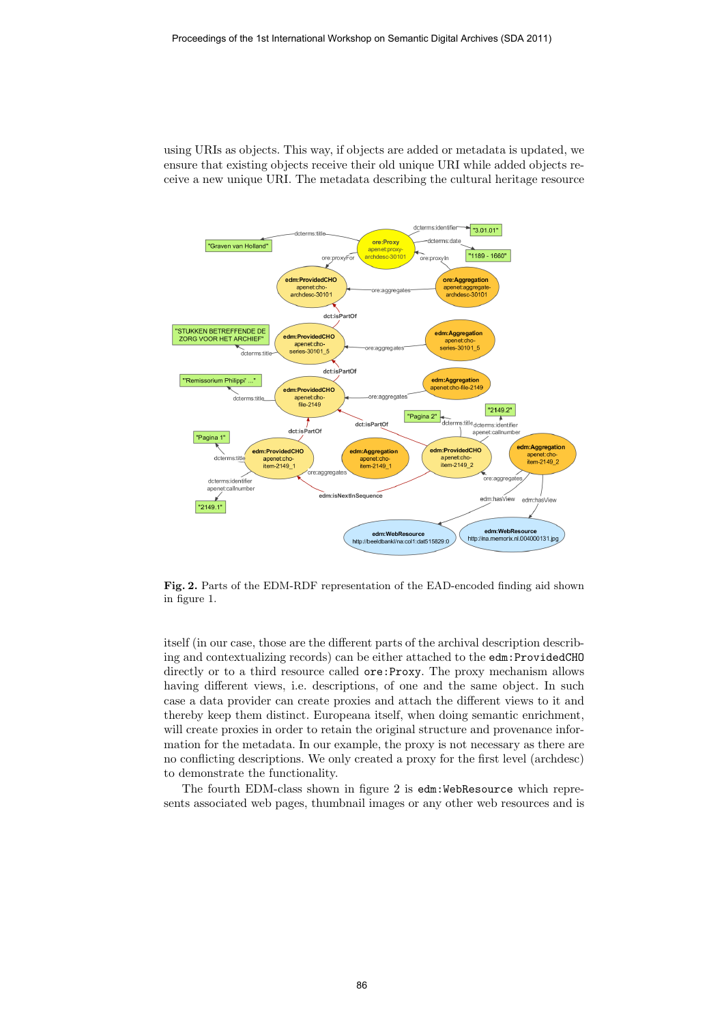using URIs as objects. This way, if objects are added or metadata is updated, we ensure that existing objects receive their old unique URI while added objects receive a new unique URI. The metadata describing the cultural heritage resource



Fig. 2. Parts of the EDM-RDF representation of the EAD-encoded finding aid shown in figure 1.

itself (in our case, those are the different parts of the archival description describing and contextualizing records) can be either attached to the edm:ProvidedCHO directly or to a third resource called ore: Proxy. The proxy mechanism allows having different views, i.e. descriptions, of one and the same object. In such case a data provider can create proxies and attach the different views to it and thereby keep them distinct. Europeana itself, when doing semantic enrichment, will create proxies in order to retain the original structure and provenance information for the metadata. In our example, the proxy is not necessary as there are no conflicting descriptions. We only created a proxy for the first level (archdesc) to demonstrate the functionality.

The fourth EDM-class shown in figure 2 is edm:WebResource which represents associated web pages, thumbnail images or any other web resources and is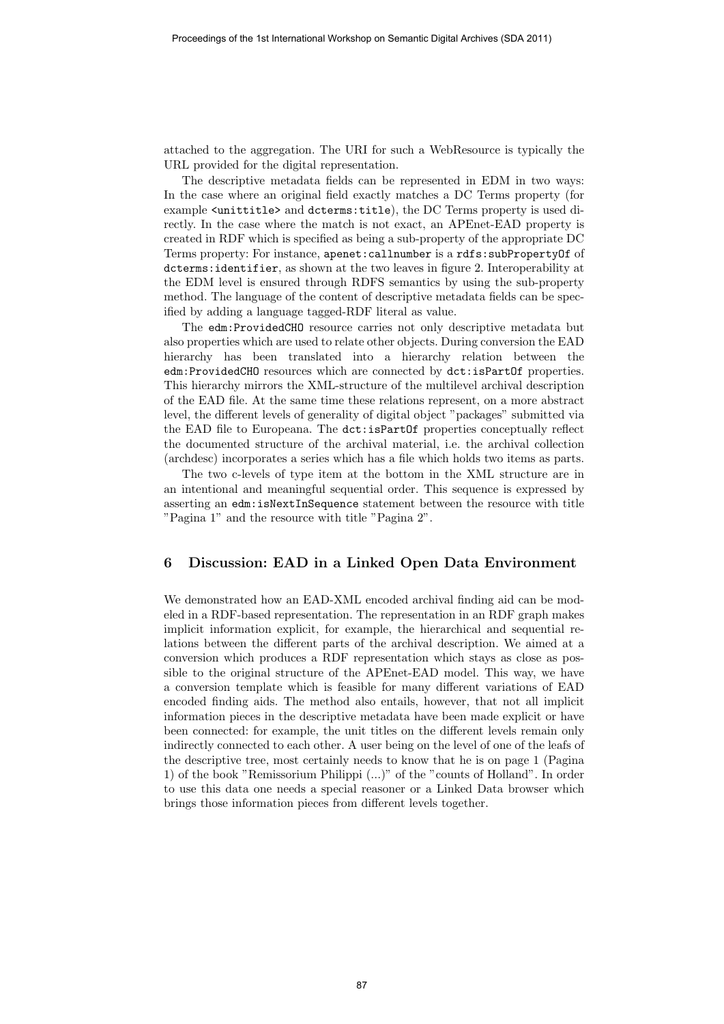attached to the aggregation. The URI for such a WebResource is typically the URL provided for the digital representation.

The descriptive metadata fields can be represented in EDM in two ways: In the case where an original field exactly matches a DC Terms property (for example <unittitle> and dcterms:title), the DC Terms property is used directly. In the case where the match is not exact, an APEnet-EAD property is created in RDF which is specified as being a sub-property of the appropriate DC Terms property: For instance, apenet:callnumber is a rdfs:subPropertyOf of dcterms:identifier, as shown at the two leaves in figure 2. Interoperability at the EDM level is ensured through RDFS semantics by using the sub-property method. The language of the content of descriptive metadata fields can be specified by adding a language tagged-RDF literal as value.

The edm:ProvidedCHO resource carries not only descriptive metadata but also properties which are used to relate other objects. During conversion the EAD hierarchy has been translated into a hierarchy relation between the edm:ProvidedCHO resources which are connected by dct:isPartOf properties. This hierarchy mirrors the XML-structure of the multilevel archival description of the EAD file. At the same time these relations represent, on a more abstract level, the different levels of generality of digital object "packages" submitted via the EAD file to Europeana. The dct:isPartOf properties conceptually reflect the documented structure of the archival material, i.e. the archival collection (archdesc) incorporates a series which has a file which holds two items as parts.

The two c-levels of type item at the bottom in the XML structure are in an intentional and meaningful sequential order. This sequence is expressed by asserting an edm:isNextInSequence statement between the resource with title "Pagina 1" and the resource with title "Pagina 2".

### 6 Discussion: EAD in a Linked Open Data Environment

We demonstrated how an EAD-XML encoded archival finding aid can be modeled in a RDF-based representation. The representation in an RDF graph makes implicit information explicit, for example, the hierarchical and sequential relations between the different parts of the archival description. We aimed at a conversion which produces a RDF representation which stays as close as possible to the original structure of the APEnet-EAD model. This way, we have a conversion template which is feasible for many different variations of EAD encoded finding aids. The method also entails, however, that not all implicit information pieces in the descriptive metadata have been made explicit or have been connected: for example, the unit titles on the different levels remain only indirectly connected to each other. A user being on the level of one of the leafs of the descriptive tree, most certainly needs to know that he is on page 1 (Pagina 1) of the book "Remissorium Philippi (...)" of the "counts of Holland". In order to use this data one needs a special reasoner or a Linked Data browser which brings those information pieces from different levels together.